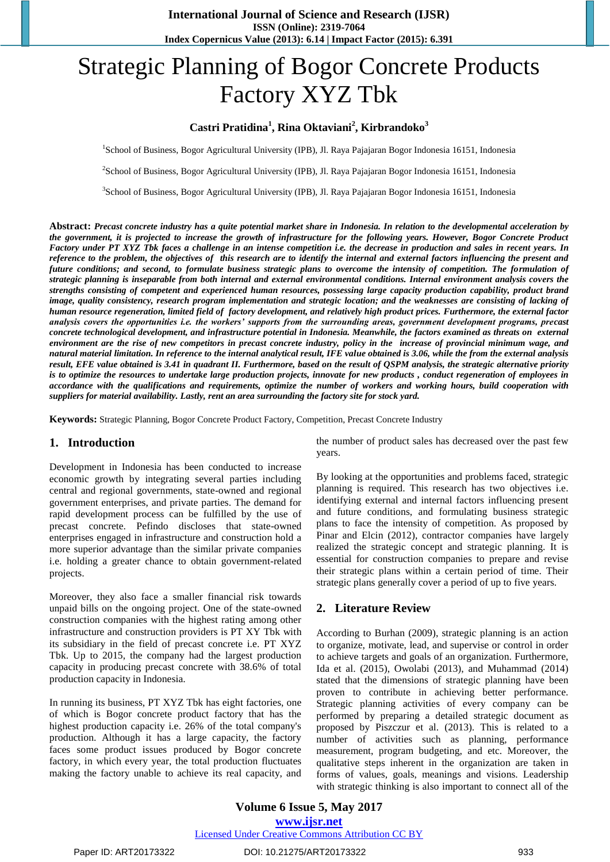# Strategic Planning of Bogor Concrete Products Factory XYZ Tbk

# **Castri Pratidina<sup>1</sup> , Rina Oktaviani<sup>2</sup> , Kirbrandoko<sup>3</sup>**

<sup>1</sup>School of Business, Bogor Agricultural University (IPB), Jl. Raya Pajajaran Bogor Indonesia 16151, Indonesia

<sup>2</sup>School of Business, Bogor Agricultural University (IPB), Jl. Raya Pajajaran Bogor Indonesia 16151, Indonesia

3 School of Business, Bogor Agricultural University (IPB), Jl. Raya Pajajaran Bogor Indonesia 16151, Indonesia

**Abstract:** *Precast concrete industry has a quite potential market share in Indonesia. In relation to the developmental acceleration by the government, it is projected to increase the growth of infrastructure for the following years. However, Bogor Concrete Product Factory under PT XYZ Tbk faces a challenge in an intense competition i.e. the decrease in production and sales in recent years. In reference to the problem, the objectives of this research are to identify the internal and external factors influencing the present and future conditions; and second, to formulate business strategic plans to overcome the intensity of competition. The formulation of strategic planning is inseparable from both internal and external environmental conditions. Internal environment analysis covers the strengths consisting of competent and experienced human resources, possessing large capacity production capability, product brand image, quality consistency, research program implementation and strategic location; and the weaknesses are consisting of lacking of human resource regeneration, limited field of factory development, and relatively high product prices. Furthermore, the external factor analysis covers the opportunities i.e. the workers' supports from the surrounding areas, government development programs, precast concrete technological development, and infrastructure potential in Indonesia. Meanwhile, the factors examined as threats on external environment are the rise of new competitors in precast concrete industry, policy in the increase of provincial minimum wage, and natural material limitation. In reference to the internal analytical result, IFE value obtained is 3.06, while the from the external analysis result, EFE value obtained is 3.41 in quadrant II. Furthermore, based on the result of QSPM analysis, the strategic alternative priority is to optimize the resources to undertake large production projects, innovate for new products , conduct regeneration of employees in accordance with the qualifications and requirements, optimize the number of workers and working hours, build cooperation with suppliers for material availability. Lastly, rent an area surrounding the factory site for stock yard.*

**Keywords:** Strategic Planning, Bogor Concrete Product Factory, Competition, Precast Concrete Industry

## **1. Introduction**

Development in Indonesia has been conducted to increase economic growth by integrating several parties including central and regional governments, state-owned and regional government enterprises, and private parties. The demand for rapid development process can be fulfilled by the use of precast concrete. Pefindo discloses that state-owned enterprises engaged in infrastructure and construction hold a more superior advantage than the similar private companies i.e. holding a greater chance to obtain government-related projects.

Moreover, they also face a smaller financial risk towards unpaid bills on the ongoing project. One of the state-owned construction companies with the highest rating among other infrastructure and construction providers is PT XY Tbk with its subsidiary in the field of precast concrete i.e. PT XYZ Tbk. Up to 2015, the company had the largest production capacity in producing precast concrete with 38.6% of total production capacity in Indonesia.

In running its business, PT XYZ Tbk has eight factories, one of which is Bogor concrete product factory that has the highest production capacity i.e. 26% of the total company's production. Although it has a large capacity, the factory faces some product issues produced by Bogor concrete factory, in which every year, the total production fluctuates making the factory unable to achieve its real capacity, and

the number of product sales has decreased over the past few years.

By looking at the opportunities and problems faced, strategic planning is required. This research has two objectives i.e. identifying external and internal factors influencing present and future conditions, and formulating business strategic plans to face the intensity of competition. As proposed by Pinar and Elcin (2012), contractor companies have largely realized the strategic concept and strategic planning. It is essential for construction companies to prepare and revise their strategic plans within a certain period of time. Their strategic plans generally cover a period of up to five years.

# **2. Literature Review**

According to Burhan (2009), strategic planning is an action to organize, motivate, lead, and supervise or control in order to achieve targets and goals of an organization. Furthermore, Ida et al. (2015), Owolabi (2013), and Muhammad (2014) stated that the dimensions of strategic planning have been proven to contribute in achieving better performance. Strategic planning activities of every company can be performed by preparing a detailed strategic document as proposed by Piszczur et al. (2013). This is related to a number of activities such as planning, performance measurement, program budgeting, and etc. Moreover, the qualitative steps inherent in the organization are taken in forms of values, goals, meanings and visions. Leadership with strategic thinking is also important to connect all of the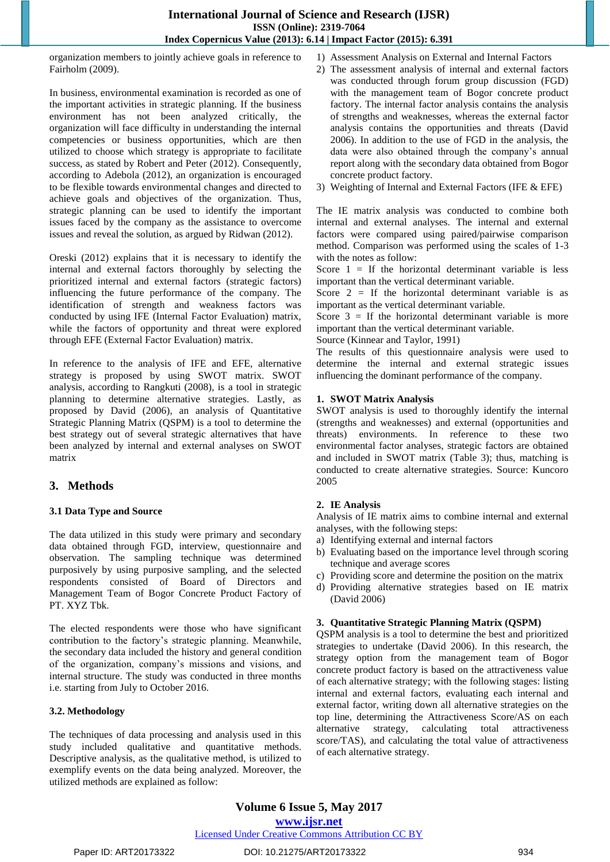organization members to jointly achieve goals in reference to Fairholm (2009).

In business, environmental examination is recorded as one of the important activities in strategic planning. If the business environment has not been analyzed critically, the organization will face difficulty in understanding the internal competencies or business opportunities, which are then utilized to choose which strategy is appropriate to facilitate success, as stated by Robert and Peter (2012). Consequently, according to Adebola (2012), an organization is encouraged to be flexible towards environmental changes and directed to achieve goals and objectives of the organization. Thus, strategic planning can be used to identify the important issues faced by the company as the assistance to overcome issues and reveal the solution, as argued by Ridwan (2012).

Oreski (2012) explains that it is necessary to identify the internal and external factors thoroughly by selecting the prioritized internal and external factors (strategic factors) influencing the future performance of the company. The identification of strength and weakness factors was conducted by using IFE (Internal Factor Evaluation) matrix, while the factors of opportunity and threat were explored through EFE (External Factor Evaluation) matrix.

In reference to the analysis of IFE and EFE, alternative strategy is proposed by using SWOT matrix. SWOT analysis, according to Rangkuti (2008), is a tool in strategic planning to determine alternative strategies. Lastly, as proposed by David (2006), an analysis of Quantitative Strategic Planning Matrix (QSPM) is a tool to determine the best strategy out of several strategic alternatives that have been analyzed by internal and external analyses on SWOT matrix

# **3. Methods**

# **3.1 Data Type and Source**

The data utilized in this study were primary and secondary data obtained through FGD, interview, questionnaire and observation. The sampling technique was determined purposively by using purposive sampling, and the selected respondents consisted of Board of Directors and Management Team of Bogor Concrete Product Factory of PT. XYZ Tbk.

The elected respondents were those who have significant contribution to the factory's strategic planning. Meanwhile, the secondary data included the history and general condition of the organization, company's missions and visions, and internal structure. The study was conducted in three months i.e. starting from July to October 2016.

## **3.2. Methodology**

The techniques of data processing and analysis used in this study included qualitative and quantitative methods. Descriptive analysis, as the qualitative method, is utilized to exemplify events on the data being analyzed. Moreover, the utilized methods are explained as follow:

- 1) Assessment Analysis on External and Internal Factors
- 2) The assessment analysis of internal and external factors was conducted through forum group discussion (FGD) with the management team of Bogor concrete product factory. The internal factor analysis contains the analysis of strengths and weaknesses, whereas the external factor analysis contains the opportunities and threats (David 2006). In addition to the use of FGD in the analysis, the data were also obtained through the company's annual report along with the secondary data obtained from Bogor concrete product factory.
- 3) Weighting of Internal and External Factors (IFE & EFE)

The IE matrix analysis was conducted to combine both internal and external analyses. The internal and external factors were compared using paired/pairwise comparison method. Comparison was performed using the scales of 1-3 with the notes as follow:

Score  $1 =$  If the horizontal determinant variable is less important than the vertical determinant variable.

Score  $2 =$  If the horizontal determinant variable is as important as the vertical determinant variable.

Score  $3 =$  If the horizontal determinant variable is more important than the vertical determinant variable.

Source (Kinnear and Taylor, 1991)

The results of this questionnaire analysis were used to determine the internal and external strategic issues influencing the dominant performance of the company.

## **1. SWOT Matrix Analysis**

SWOT analysis is used to thoroughly identify the internal (strengths and weaknesses) and external (opportunities and threats) environments. In reference to these two environmental factor analyses, strategic factors are obtained and included in SWOT matrix (Table 3); thus, matching is conducted to create alternative strategies. Source: Kuncoro 2005

# **2. IE Analysis**

Analysis of IE matrix aims to combine internal and external analyses, with the following steps:

- a) Identifying external and internal factors
- b) Evaluating based on the importance level through scoring technique and average scores
- c) Providing score and determine the position on the matrix
- d) Providing alternative strategies based on IE matrix (David 2006)

## **3. Quantitative Strategic Planning Matrix (QSPM)**

QSPM analysis is a tool to determine the best and prioritized strategies to undertake (David 2006). In this research, the strategy option from the management team of Bogor concrete product factory is based on the attractiveness value of each alternative strategy; with the following stages: listing internal and external factors, evaluating each internal and external factor, writing down all alternative strategies on the top line, determining the Attractiveness Score/AS on each alternative strategy, calculating total attractiveness score/TAS), and calculating the total value of attractiveness of each alternative strategy.

# **Volume 6 Issue 5, May 2017 www.ijsr.net**

## Licensed Under Creative Commons Attribution CC BY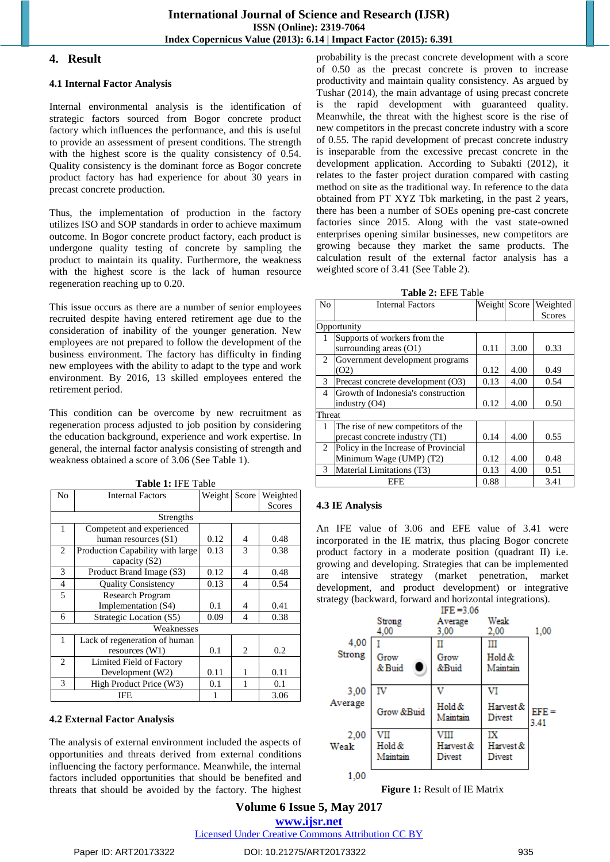# **4. Result**

## **4.1 Internal Factor Analysis**

Internal environmental analysis is the identification of strategic factors sourced from Bogor concrete product factory which influences the performance, and this is useful to provide an assessment of present conditions. The strength with the highest score is the quality consistency of 0.54. Quality consistency is the dominant force as Bogor concrete product factory has had experience for about 30 years in precast concrete production.

Thus, the implementation of production in the factory utilizes ISO and SOP standards in order to achieve maximum outcome. In Bogor concrete product factory, each product is undergone quality testing of concrete by sampling the product to maintain its quality. Furthermore, the weakness with the highest score is the lack of human resource regeneration reaching up to 0.20.

This issue occurs as there are a number of senior employees recruited despite having entered retirement age due to the consideration of inability of the younger generation. New employees are not prepared to follow the development of the business environment. The factory has difficulty in finding new employees with the ability to adapt to the type and work environment. By 2016, 13 skilled employees entered the retirement period.

This condition can be overcome by new recruitment as regeneration process adjusted to job position by considering the education background, experience and work expertise. In general, the internal factor analysis consisting of strength and weakness obtained a score of 3.06 (See Table 1).

| No             | <b>Internal Factors</b>          | Weight Score |                | Weighted |
|----------------|----------------------------------|--------------|----------------|----------|
|                |                                  |              |                | Scores   |
|                | Strengths                        |              |                |          |
| $\mathbf{1}$   | Competent and experienced        |              |                |          |
|                | human resources (S1)             | 0.12         | 4              | 0.48     |
| $\overline{c}$ | Production Capability with large | 0.13         | 3              | 0.38     |
|                | capacity (S2)                    |              |                |          |
| 3              | Product Brand Image (S3)         | 0.12         | 4              | 0.48     |
| $\overline{4}$ | <b>Quality Consistency</b>       | 0.13         | 4              | 0.54     |
| 5              | <b>Research Program</b>          |              |                |          |
|                | Implementation (S4)              | 0.1          | 4              | 0.41     |
| 6              | Strategic Location (S5)          | 0.09         | 4              | 0.38     |
| Weaknesses     |                                  |              |                |          |
| 1              | Lack of regeneration of human    |              |                |          |
|                | resources (W1)                   | 0.1          | $\overline{c}$ | 0.2      |
| $\overline{2}$ | Limited Field of Factory         |              |                |          |
|                | Development (W2)                 | 0.11         |                | 0.11     |
| 3              | High Product Price (W3)          | 0.1          | 1              | 0.1      |
| IFE            |                                  |              |                | 3.06     |

**Table 1:** IFE Table

# **4.2 External Factor Analysis**

The analysis of external environment included the aspects of opportunities and threats derived from external conditions influencing the factory performance. Meanwhile, the internal factors included opportunities that should be benefited and threats that should be avoided by the factory. The highest

probability is the precast concrete development with a score of 0.50 as the precast concrete is proven to increase productivity and maintain quality consistency. As argued by Tushar (2014), the main advantage of using precast concrete is the rapid development with guaranteed quality. Meanwhile, the threat with the highest score is the rise of new competitors in the precast concrete industry with a score of 0.55. The rapid development of precast concrete industry is inseparable from the excessive precast concrete in the development application. According to Subakti (2012), it relates to the faster project duration compared with casting method on site as the traditional way. In reference to the data obtained from PT XYZ Tbk marketing, in the past 2 years, there has been a number of SOEs opening pre-cast concrete factories since 2015. Along with the vast state-owned enterprises opening similar businesses, new competitors are growing because they market the same products. The calculation result of the external factor analysis has a weighted score of 3.41 (See Table 2).

|  | <b>Table 2: EFE Table</b> |  |
|--|---------------------------|--|
|--|---------------------------|--|

| No             | <b>Internal Factors</b>              | Weight Score |      | Weighted |
|----------------|--------------------------------------|--------------|------|----------|
|                |                                      |              |      | Scores   |
|                | Opportunity                          |              |      |          |
|                | Supports of workers from the         |              |      |          |
|                | surrounding areas (O1)               | 0.11         | 3.00 | 0.33     |
| 2              | Government development programs      |              |      |          |
|                | (02)                                 | 0.12         | 4.00 | 0.49     |
| 3              | Precast concrete development (O3)    | 0.13         | 4.00 | 0.54     |
| 4              | Growth of Indonesia's construction   |              |      |          |
|                | industry (O4)                        | 0.12         | 4.00 | 0.50     |
| Threat         |                                      |              |      |          |
| 1              | The rise of new competitors of the   |              |      |          |
|                | precast concrete industry (T1)       | 0.14         | 4.00 | 0.55     |
| $\overline{2}$ | Policy in the Increase of Provincial |              |      |          |
|                | Minimum Wage (UMP) (T2)              | 0.12         | 4.00 | 0.48     |
| 3              | Material Limitations (T3)            | 0.13         | 4.00 | 0.51     |
|                | <b>EFE</b>                           | 0.88         |      | 3.41     |

## **4.3 IE Analysis**

An IFE value of 3.06 and EFE value of 3.41 were incorporated in the IE matrix, thus placing Bogor concrete product factory in a moderate position (quadrant II) i.e. growing and developing. Strategies that can be implemented are intensive strategy (market penetration, market development, and product development) or integrative strategy (backward, forward and horizontal integrations).



**Figure 1:** Result of IE Matrix

**Volume 6 Issue 5, May 2017 www.ijsr.net**

Licensed Under Creative Commons Attribution CC BY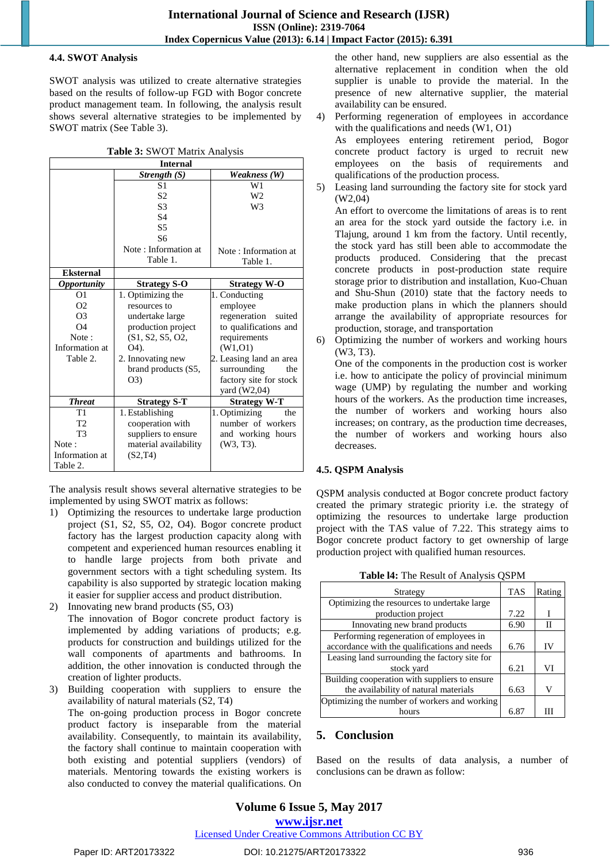## **4.4. SWOT Analysis**

SWOT analysis was utilized to create alternative strategies based on the results of follow-up FGD with Bogor concrete product management team. In following, the analysis result shows several alternative strategies to be implemented by SWOT matrix (See Table 3).

| Table 3: SWOT Matrix Analysis |
|-------------------------------|
|-------------------------------|

| <b>Internal</b>    |                       |                         |  |  |  |
|--------------------|-----------------------|-------------------------|--|--|--|
|                    | Strength (S)          | Weakness (W)            |  |  |  |
|                    | S <sub>1</sub>        | W1                      |  |  |  |
|                    | S <sub>2</sub>        | W <sub>2</sub>          |  |  |  |
|                    | S <sub>3</sub>        | W <sub>3</sub>          |  |  |  |
|                    | S <sub>4</sub>        |                         |  |  |  |
|                    | S <sub>5</sub>        |                         |  |  |  |
|                    | S6                    |                         |  |  |  |
|                    | Note: Information at  | Note: Information at    |  |  |  |
|                    | Table 1.              | Table 1.                |  |  |  |
| <b>Eksternal</b>   |                       |                         |  |  |  |
| <b>Opportunity</b> | <b>Strategy S-O</b>   | <b>Strategy W-O</b>     |  |  |  |
| O <sub>1</sub>     | 1. Optimizing the     | 1. Conducting           |  |  |  |
| O <sub>2</sub>     | resources to          | employee                |  |  |  |
| O <sub>3</sub>     | undertake large       | regeneration<br>suited  |  |  |  |
| $\Omega$ 4         | production project    | to qualifications and   |  |  |  |
| Note:              | (S1, S2, S5, O2,      | requirements            |  |  |  |
| Information at     | O4).                  | (W1, 01)                |  |  |  |
| Table 2.           | 2. Innovating new     | 2. Leasing land an area |  |  |  |
|                    | brand products (S5,   | surrounding<br>the      |  |  |  |
|                    | O(3)                  | factory site for stock  |  |  |  |
|                    |                       | yard (W2,04)            |  |  |  |
| <b>Threat</b>      | <b>Strategy S-T</b>   | <b>Strategy W-T</b>     |  |  |  |
| T1                 | 1. Establishing       | 1. Optimizing<br>the    |  |  |  |
| T <sub>2</sub>     | cooperation with      | number of workers       |  |  |  |
| T <sub>3</sub>     | suppliers to ensure   | and working hours       |  |  |  |
| Note:              | material availability | $(W3, T3)$ .            |  |  |  |
| Information at     | (S2, T4)              |                         |  |  |  |
| Table 2.           |                       |                         |  |  |  |

The analysis result shows several alternative strategies to be implemented by using SWOT matrix as follows:

- 1) Optimizing the resources to undertake large production project (S1, S2, S5, O2, O4). Bogor concrete product factory has the largest production capacity along with competent and experienced human resources enabling it to handle large projects from both private and government sectors with a tight scheduling system. Its capability is also supported by strategic location making it easier for supplier access and product distribution.
- 2) Innovating new brand products (S5, O3) The innovation of Bogor concrete product factory is implemented by adding variations of products; e.g. products for construction and buildings utilized for the wall components of apartments and bathrooms. In addition, the other innovation is conducted through the creation of lighter products.
- 3) Building cooperation with suppliers to ensure the availability of natural materials (S2, T4)

The on-going production process in Bogor concrete product factory is inseparable from the material availability. Consequently, to maintain its availability, the factory shall continue to maintain cooperation with both existing and potential suppliers (vendors) of materials. Mentoring towards the existing workers is also conducted to convey the material qualifications. On

the other hand, new suppliers are also essential as the alternative replacement in condition when the old supplier is unable to provide the material. In the presence of new alternative supplier, the material availability can be ensured.

4) Performing regeneration of employees in accordance with the qualifications and needs (W1, O1)

As employees entering retirement period, Bogor concrete product factory is urged to recruit new employees on the basis of requirements and qualifications of the production process.

5) Leasing land surrounding the factory site for stock yard (W2,04)

An effort to overcome the limitations of areas is to rent an area for the stock yard outside the factory i.e. in Tlajung, around 1 km from the factory. Until recently, the stock yard has still been able to accommodate the products produced. Considering that the precast concrete products in post-production state require storage prior to distribution and installation, Kuo-Chuan and Shu-Shun (2010) state that the factory needs to make production plans in which the planners should arrange the availability of appropriate resources for production, storage, and transportation

6) Optimizing the number of workers and working hours (W3, T3).

One of the components in the production cost is worker i.e. how to anticipate the policy of provincial minimum wage (UMP) by regulating the number and working hours of the workers. As the production time increases, the number of workers and working hours also increases; on contrary, as the production time decreases, the number of workers and working hours also decreases.

## **4.5. QSPM Analysis**

QSPM analysis conducted at Bogor concrete product factory created the primary strategic priority i.e. the strategy of optimizing the resources to undertake large production project with the TAS value of 7.22. This strategy aims to Bogor concrete product factory to get ownership of large production project with qualified human resources.

| Strategy                                      | <b>TAS</b> | Rating |
|-----------------------------------------------|------------|--------|
| Optimizing the resources to undertake large   |            |        |
| production project                            | 7.22       |        |
| Innovating new brand products                 | 6.90       | Н      |
| Performing regeneration of employees in       |            |        |
| accordance with the qualifications and needs  | 6.76       | IV     |
| Leasing land surrounding the factory site for |            |        |
| stock yard                                    | 6.21       | VI     |
| Building cooperation with suppliers to ensure |            |        |
| the availability of natural materials         | 6.63       | V      |
| Optimizing the number of workers and working  |            |        |
| hours                                         | 6.87       |        |

**Table l4:** The Result of Analysis QSPM

# **5. Conclusion**

Based on the results of data analysis, a number of conclusions can be drawn as follow:

# **Volume 6 Issue 5, May 2017**

**www.ijsr.net**

Licensed Under Creative Commons Attribution CC BY